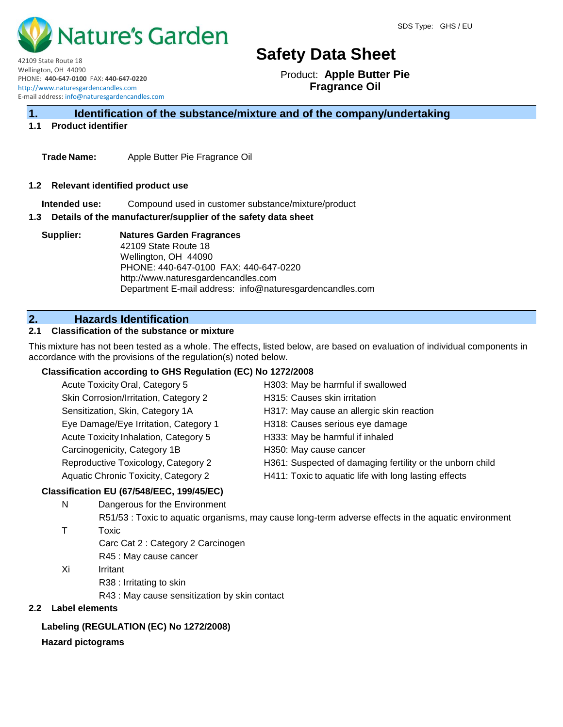

42109 State Route 18 Wellington, OH 44090 PHONE: **440-647-0100** FAX: **440-647-0220** http://www.naturesgardencandles.com E-mail address: info@naturesgardencandles.com

Product: **Apple Butter Pie Fragrance Oil**

# **1. Identification of the substance/mixture and of the company/undertaking**

# **1.1 Product identifier**

**Trade Name:** Apple Butter Pie Fragrance Oil

#### **1.2 Relevant identified product use**

**Intended use:** Compound used in customer substance/mixture/product

#### **1.3 Details of the manufacturer/supplier of the safety data sheet**

**Supplier: Natures Garden Fragrances** 42109 State Route 18 Wellington, OH 44090 PHONE: 440-647-0100 FAX: 440-647-0220 http://www.naturesgardencandles.com Department E-mail address: info@naturesgardencandles.com

# **2. Hazards Identification**

#### **2.1 Classification of the substance or mixture**

This mixture has not been tested as a whole. The effects, listed below, are based on evaluation of individual components in accordance with the provisions of the regulation(s) noted below.

# **Classification according to GHS Regulation (EC) No 1272/2008**

| Acute Toxicity Oral, Category 5             | H303: May be harmful if swallowed                         |
|---------------------------------------------|-----------------------------------------------------------|
| Skin Corrosion/Irritation, Category 2       | H315: Causes skin irritation                              |
| Sensitization, Skin, Category 1A            | H317: May cause an allergic skin reaction                 |
| Eye Damage/Eye Irritation, Category 1       | H318: Causes serious eye damage                           |
| Acute Toxicity Inhalation, Category 5       | H333: May be harmful if inhaled                           |
| Carcinogenicity, Category 1B                | H350: May cause cancer                                    |
| Reproductive Toxicology, Category 2         | H361: Suspected of damaging fertility or the unborn child |
| <b>Aquatic Chronic Toxicity, Category 2</b> | H411: Toxic to aquatic life with long lasting effects     |
|                                             |                                                           |

# **Classification EU (67/548/EEC, 199/45/EC)**

N Dangerous for the Environment

R51/53 : Toxic to aquatic organisms, may cause long-term adverse effects in the aquatic environment T Toxic

- Carc Cat 2 : Category 2 Carcinogen
- R45 : May cause cancer
- Xi Irritant
	- R38 : Irritating to skin
	- R43 : May cause sensitization by skin contact

# **2.2 Label elements**

# **Labeling (REGULATION (EC) No 1272/2008)**

# **Hazard pictograms**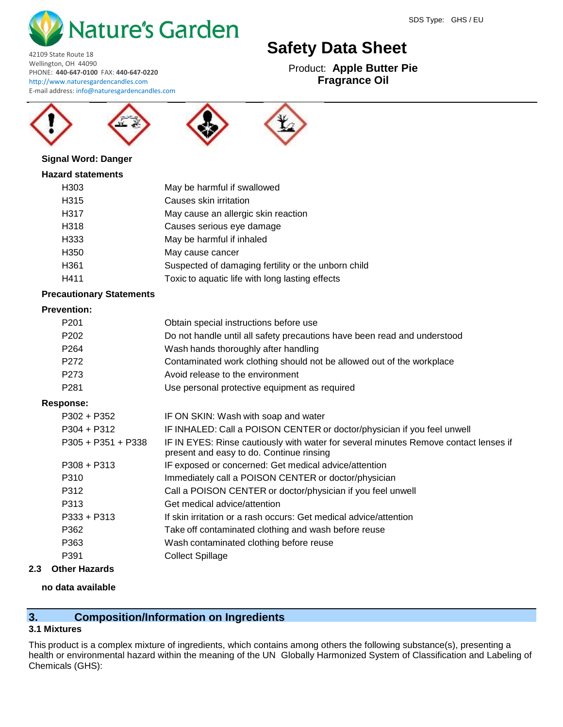

Product: **Apple Butter Pie Fragrance Oil**

Wellington, OH 44090 PHONE: **440-647-0100** FAX: **440-647-0220** http://www.naturesgardencandles.com E-mail address: info@naturesgardencandles.com



42109 State Route 18





# **Signal Word: Danger**

# **Hazard statements**

| H <sub>303</sub> | May be harmful if swallowed                         |
|------------------|-----------------------------------------------------|
| H315             | Causes skin irritation                              |
| H317             | May cause an allergic skin reaction                 |
| H318             | Causes serious eye damage                           |
| H333             | May be harmful if inhaled                           |
| H <sub>350</sub> | May cause cancer                                    |
| H361             | Suspected of damaging fertility or the unborn child |
| H411             | Toxic to aquatic life with long lasting effects     |

# **Precautionary Statements**

# **Prevention:**

| P <sub>201</sub> | Obtain special instructions before use                                   |
|------------------|--------------------------------------------------------------------------|
| P <sub>202</sub> | Do not handle until all safety precautions have been read and understood |
| P <sub>264</sub> | Wash hands thoroughly after handling                                     |
| P <sub>272</sub> | Contaminated work clothing should not be allowed out of the workplace    |
| P <sub>273</sub> | Avoid release to the environment                                         |
| P <sub>281</sub> | Use personal protective equipment as required                            |
|                  |                                                                          |

# **Response:**

| $P302 + P352$      | IF ON SKIN: Wash with soap and water                                                                                             |
|--------------------|----------------------------------------------------------------------------------------------------------------------------------|
| $P304 + P312$      | IF INHALED: Call a POISON CENTER or doctor/physician if you feel unwell                                                          |
| P305 + P351 + P338 | IF IN EYES: Rinse cautiously with water for several minutes Remove contact lenses if<br>present and easy to do. Continue rinsing |
| $P308 + P313$      | IF exposed or concerned: Get medical advice/attention                                                                            |
| P310               | Immediately call a POISON CENTER or doctor/physician                                                                             |
| P312               | Call a POISON CENTER or doctor/physician if you feel unwell                                                                      |
| P313               | Get medical advice/attention                                                                                                     |
| $P333 + P313$      | If skin irritation or a rash occurs: Get medical advice/attention                                                                |
| P362               | Take off contaminated clothing and wash before reuse                                                                             |
| P363               | Wash contaminated clothing before reuse                                                                                          |
| P391               | <b>Collect Spillage</b>                                                                                                          |
|                    |                                                                                                                                  |

# **2.3 Other Hazards**

# **no data available**

# **3. Composition/Information on Ingredients**

# **3.1 Mixtures**

This product is a complex mixture of ingredients, which contains among others the following substance(s), presenting a health or environmental hazard within the meaning of the UN Globally Harmonized System of Classification and Labeling of Chemicals (GHS):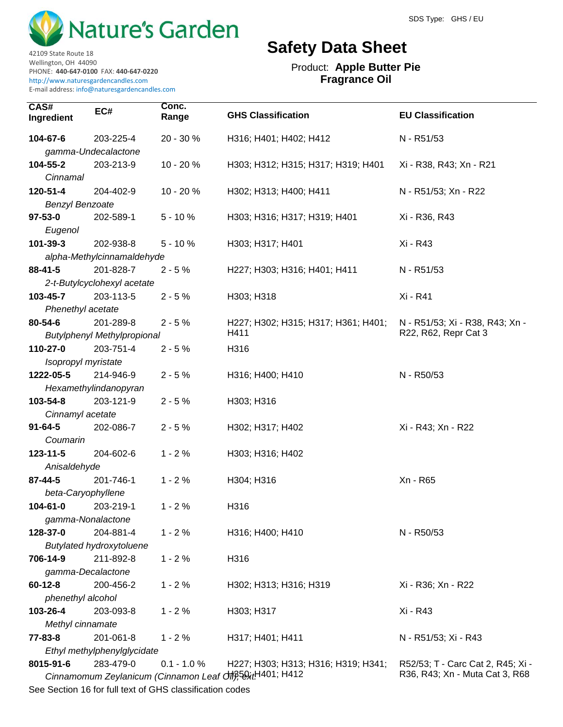

42109 State Route 18 Wellington, OH 44090

PHONE: **440-647-0100** FAX: **440-647-0220** http://www.naturesgardencandles.com E-mail address: info@naturesgardencandles.com

# **Safety Data Sheet**

Product: **Apple Butter Pie Fragrance Oil**

| CAS#<br>Ingredient     | EC#                                | Conc.<br>Range | <b>GHS Classification</b>                                                                        | <b>EU Classification</b>          |
|------------------------|------------------------------------|----------------|--------------------------------------------------------------------------------------------------|-----------------------------------|
| 104-67-6               | 203-225-4                          | 20 - 30 %      | H316; H401; H402; H412                                                                           | N - R51/53                        |
|                        | gamma-Undecalactone                |                |                                                                                                  |                                   |
| 104-55-2               | 203-213-9                          | 10 - 20 %      | H303; H312; H315; H317; H319; H401                                                               | Xi - R38, R43; Xn - R21           |
| Cinnamal               |                                    |                |                                                                                                  |                                   |
| 120-51-4               | 204-402-9                          | 10 - 20 %      | H302; H313; H400; H411                                                                           | N - R51/53; Xn - R22              |
| <b>Benzyl Benzoate</b> |                                    |                |                                                                                                  |                                   |
| $97 - 53 - 0$          | 202-589-1                          | $5 - 10%$      | H303; H316; H317; H319; H401                                                                     | Xi - R36, R43                     |
| Eugenol                |                                    |                |                                                                                                  |                                   |
| 101-39-3               | 202-938-8                          | $5 - 10%$      | H303; H317; H401                                                                                 | Xi - R43                          |
|                        | alpha-Methylcinnamaldehyde         |                |                                                                                                  |                                   |
| $88 - 41 - 5$          | 201-828-7                          | $2 - 5%$       | H227; H303; H316; H401; H411                                                                     | N - R51/53                        |
|                        | 2-t-Butylcyclohexyl acetate        |                |                                                                                                  |                                   |
| 103-45-7               | 203-113-5                          | $2 - 5%$       | H303; H318                                                                                       | Xi - R41                          |
| Phenethyl acetate      |                                    |                |                                                                                                  |                                   |
| 80-54-6                | 201-289-8                          | $2 - 5%$       | H227; H302; H315; H317; H361; H401;                                                              | N - R51/53; Xi - R38, R43; Xn -   |
|                        | <b>Butylphenyl Methylpropional</b> |                | H411                                                                                             | R22, R62, Repr Cat 3              |
| 110-27-0               | 203-751-4                          | $2 - 5%$       | H316                                                                                             |                                   |
| Isopropyl myristate    |                                    |                |                                                                                                  |                                   |
| 1222-05-5              | 214-946-9                          | $2 - 5%$       | H316; H400; H410                                                                                 | N - R50/53                        |
|                        | Hexamethylindanopyran              |                |                                                                                                  |                                   |
| 103-54-8               | 203-121-9                          | $2 - 5%$       | H303; H316                                                                                       |                                   |
| Cinnamyl acetate       |                                    |                |                                                                                                  |                                   |
| $91 - 64 - 5$          | 202-086-7                          | $2 - 5%$       | H302; H317; H402                                                                                 | Xi - R43; Xn - R22                |
| Coumarin               |                                    |                |                                                                                                  |                                   |
| 123-11-5               | 204-602-6                          | $1 - 2%$       | H303; H316; H402                                                                                 |                                   |
| Anisaldehyde           |                                    |                |                                                                                                  |                                   |
| 87-44-5                | 201-746-1                          | $1 - 2%$       | H304; H316                                                                                       | Xn - R65                          |
| beta-Caryophyllene     |                                    |                |                                                                                                  |                                   |
| 104-61-0               | 203-219-1                          | $1 - 2%$       | H316                                                                                             |                                   |
|                        | gamma-Nonalactone                  |                |                                                                                                  |                                   |
| 128-37-0               | 204-881-4                          | $1 - 2%$       | H316; H400; H410                                                                                 | N - R50/53                        |
|                        | <b>Butylated hydroxytoluene</b>    |                |                                                                                                  |                                   |
| 706-14-9               | 211-892-8                          | $1 - 2%$       | H316                                                                                             |                                   |
| gamma-Decalactone      |                                    |                |                                                                                                  |                                   |
| $60 - 12 - 8$          | 200-456-2                          | $1 - 2%$       | H302; H313; H316; H319                                                                           | Xi - R36; Xn - R22                |
| phenethyl alcohol      |                                    |                |                                                                                                  |                                   |
| 103-26-4               | 203-093-8                          | $1 - 2%$       | H303; H317                                                                                       | Xi - R43                          |
| Methyl cinnamate       |                                    |                |                                                                                                  |                                   |
| 77-83-8                | 201-061-8                          | $1 - 2%$       | H317; H401; H411                                                                                 | N - R51/53; Xi - R43              |
|                        | Ethyl methylphenylglycidate        |                |                                                                                                  |                                   |
| 8015-91-6              | 283-479-0                          | $0.1 - 1.0 %$  |                                                                                                  | R52/53; T - Carc Cat 2, R45; Xi - |
|                        |                                    |                | H227; H303; H313; H316; H319; H341;<br>Cinnamomum Zeylanicum (Cinnamon Leaf Off), 58xtH401; H412 | R36, R43; Xn - Muta Cat 3, R68    |
|                        |                                    |                |                                                                                                  |                                   |

See Section 16 for full text of GHS classification codes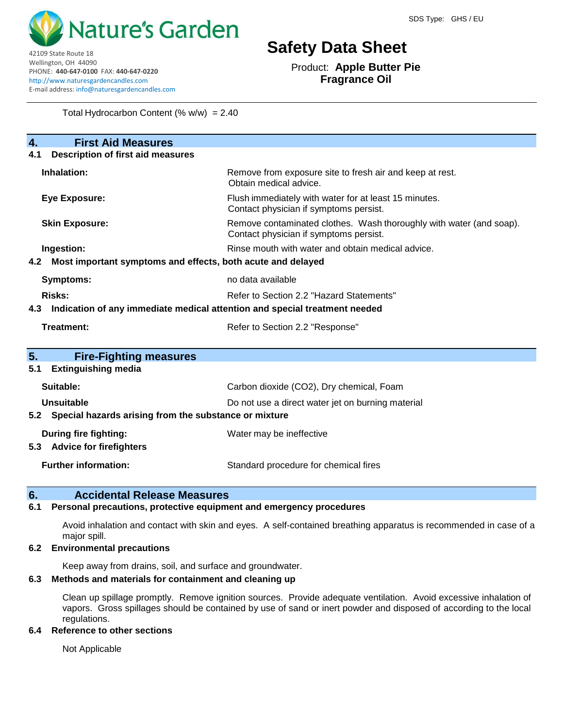

42109 State Route 18 Wellington, OH 44090

PHONE: **440-647-0100** FAX: **440-647-0220** http://www.naturesgardencandles.com E-mail address: info@naturesgardencandles.com

# **Safety Data Sheet**

Product: **Apple Butter Pie Fragrance Oil**

Total Hydrocarbon Content  $(\% w/w) = 2.40$ 

**4. First Aid Measures 4.1 Description of first aid measures Inhalation:** Remove from exposure site to fresh air and keep at rest. Obtain medical advice. **Eye Exposure:** Flush immediately with water for at least 15 minutes. Contact physician if symptoms persist. **Skin Exposure: Remove contaminated clothes.** Wash thoroughly with water (and soap). Contact physician if symptoms persist. **Ingestion:** The move of the state of the state of the state mouth with water and obtain medical advice. **4.2 Most important symptoms and effects, both acute and delayed Symptoms:** no data available **Risks:** Risks: Refer to Section 2.2 "Hazard Statements" **4.3 Indication of any immediate medical attention and special treatment needed Treatment:** Refer to Section 2.2 "Response" **5. Fire-Fighting measures 5.1 Extinguishing media Suitable:** Carbon dioxide (CO2), Dry chemical, Foam **Unsuitable** Do not use a direct water jet on burning material **5.2 Special hazards arising from the substance or mixture During fire fighting:** Water may be ineffective **5.3 Advice for firefighters Further information:** Standard procedure for chemical fires

# **6. Accidental Release Measures**

# **6.1 Personal precautions, protective equipment and emergency procedures**

Avoid inhalation and contact with skin and eyes. A self-contained breathing apparatus is recommended in case of a major spill.

# **6.2 Environmental precautions**

Keep away from drains, soil, and surface and groundwater.

#### **6.3 Methods and materials for containment and cleaning up**

Clean up spillage promptly. Remove ignition sources. Provide adequate ventilation. Avoid excessive inhalation of vapors. Gross spillages should be contained by use of sand or inert powder and disposed of according to the local regulations.

#### **6.4 Reference to other sections**

Not Applicable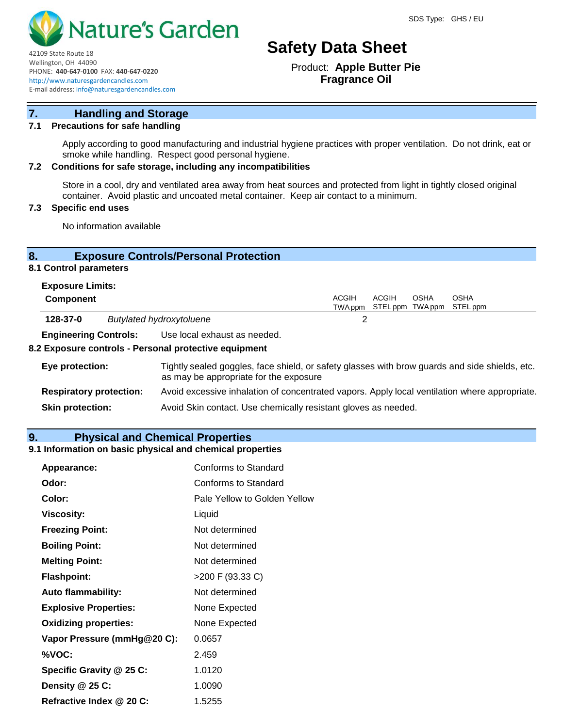

Product: **Apple Butter Pie Fragrance Oil**

E-mail address: info@naturesgardencandles.com

PHONE: **440-647-0100** FAX: **440-647-0220** http://www.naturesgardencandles.com

# **7. Handling and Storage**

# **7.1 Precautions for safe handling**

Apply according to good manufacturing and industrial hygiene practices with proper ventilation. Do not drink, eat or smoke while handling. Respect good personal hygiene.

# **7.2 Conditions for safe storage, including any incompatibilities**

Store in a cool, dry and ventilated area away from heat sources and protected from light in tightly closed original container. Avoid plastic and uncoated metal container. Keep air contact to a minimum.

# **7.3 Specific end uses**

42109 State Route 18 Wellington, OH 44090

No information available

# **8. Exposure Controls/Personal Protection**

# **8.1 Control parameters**

| <b>Exposure Limits:</b> |  |
|-------------------------|--|
|-------------------------|--|

| <b>Component</b> |                                 | ACGIH | ACGIH | OSHA | <b>OSHA</b><br>TWAppm STELppm TWAppm STELppm |  |
|------------------|---------------------------------|-------|-------|------|----------------------------------------------|--|
| 128-37-0         | <b>Butylated hydroxytoluene</b> |       |       |      |                                              |  |
| _ _ _ _ _ _ _    |                                 |       |       |      |                                              |  |

**Engineering Controls:** Use local exhaust as needed.

#### **8.2 Exposure controls - Personal protective equipment**

| Eye protection:                | Tightly sealed goggles, face shield, or safety glasses with brow guards and side shields, etc.<br>as may be appropriate for the exposure |
|--------------------------------|------------------------------------------------------------------------------------------------------------------------------------------|
| <b>Respiratory protection:</b> | Avoid excessive inhalation of concentrated vapors. Apply local ventilation where appropriate.                                            |
| <b>Skin protection:</b>        | Avoid Skin contact. Use chemically resistant gloves as needed.                                                                           |

# **9. Physical and Chemical Properties**

# **9.1 Information on basic physical and chemical properties**

| Appearance:                  | Conforms to Standard         |
|------------------------------|------------------------------|
| Odor:                        | Conforms to Standard         |
| Color:                       | Pale Yellow to Golden Yellow |
| <b>Viscosity:</b>            | Liquid                       |
| <b>Freezing Point:</b>       | Not determined               |
| <b>Boiling Point:</b>        | Not determined               |
| <b>Melting Point:</b>        | Not determined               |
| <b>Flashpoint:</b>           | >200 F (93.33 C)             |
| <b>Auto flammability:</b>    | Not determined               |
| <b>Explosive Properties:</b> | None Expected                |
| <b>Oxidizing properties:</b> | None Expected                |
| Vapor Pressure (mmHg@20 C):  | 0.0657                       |
| %VOC:                        | 2.459                        |
| Specific Gravity @ 25 C:     | 1.0120                       |
| Density @ 25 C:              | 1.0090                       |
| Refractive Index @ 20 C:     | 1.5255                       |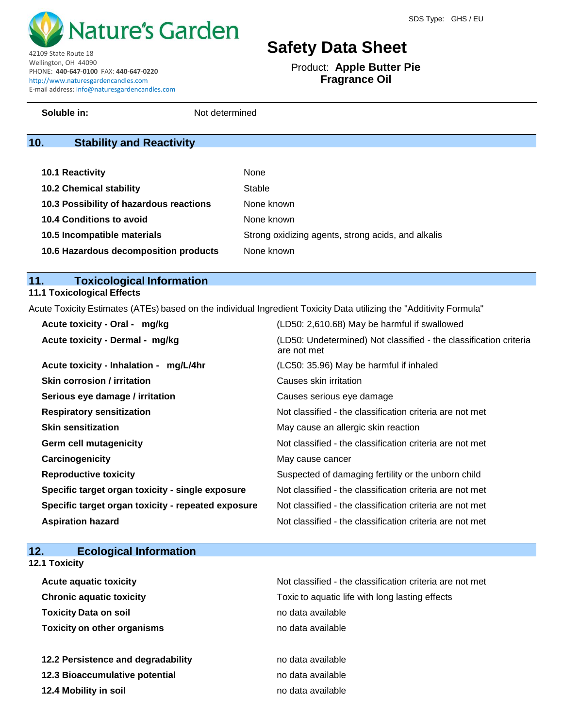

Product: **Apple Butter Pie Fragrance Oil**

42109 State Route 18 Wellington, OH 44090 PHONE: **440-647-0100** FAX: **440-647-0220** http://www.naturesgardencandles.com E-mail address: info@naturesgardencandles.com

**Soluble in:** Not determined

# **10. Stability and Reactivity**

| <b>10.1 Reactivity</b>                  | None                                               |
|-----------------------------------------|----------------------------------------------------|
| <b>10.2 Chemical stability</b>          | Stable                                             |
| 10.3 Possibility of hazardous reactions | None known                                         |
| <b>10.4 Conditions to avoid</b>         | None known                                         |
| 10.5 Incompatible materials             | Strong oxidizing agents, strong acids, and alkalis |
| 10.6 Hazardous decomposition products   | None known                                         |

# **11. Toxicological Information**

# **11.1 Toxicological Effects**

Acute Toxicity Estimates (ATEs) based on the individual Ingredient Toxicity Data utilizing the "Additivity Formula"

| Acute toxicity - Oral - mg/kg                      | (LD50: 2,610.68) May be harmful if swallowed                                     |
|----------------------------------------------------|----------------------------------------------------------------------------------|
| Acute toxicity - Dermal - mg/kg                    | (LD50: Undetermined) Not classified - the classification criteria<br>are not met |
| Acute toxicity - Inhalation - mg/L/4hr             | (LC50: 35.96) May be harmful if inhaled                                          |
| <b>Skin corrosion / irritation</b>                 | Causes skin irritation                                                           |
| Serious eye damage / irritation                    | Causes serious eye damage                                                        |
| <b>Respiratory sensitization</b>                   | Not classified - the classification criteria are not met                         |
| <b>Skin sensitization</b>                          | May cause an allergic skin reaction                                              |
| <b>Germ cell mutagenicity</b>                      | Not classified - the classification criteria are not met                         |
| Carcinogenicity                                    | May cause cancer                                                                 |
| <b>Reproductive toxicity</b>                       | Suspected of damaging fertility or the unborn child                              |
| Specific target organ toxicity - single exposure   | Not classified - the classification criteria are not met                         |
| Specific target organ toxicity - repeated exposure | Not classified - the classification criteria are not met                         |
| <b>Aspiration hazard</b>                           | Not classified - the classification criteria are not met                         |

| 12.<br><b>Ecological Information</b> |                                                          |
|--------------------------------------|----------------------------------------------------------|
| <b>12.1 Toxicity</b>                 |                                                          |
| Acute aguatic toxicity               | Not classified - the classification criteria are not met |
| <b>Chronic aquatic toxicity</b>      | Toxic to aquatic life with long lasting effects          |
| <b>Toxicity Data on soil</b>         | no data available                                        |
| <b>Toxicity on other organisms</b>   | no data available                                        |
| 12.2 Persistence and degradability   | no data available                                        |
| 12.3 Bioaccumulative potential       | no data available                                        |
| 12.4 Mobility in soil                | no data available                                        |
|                                      |                                                          |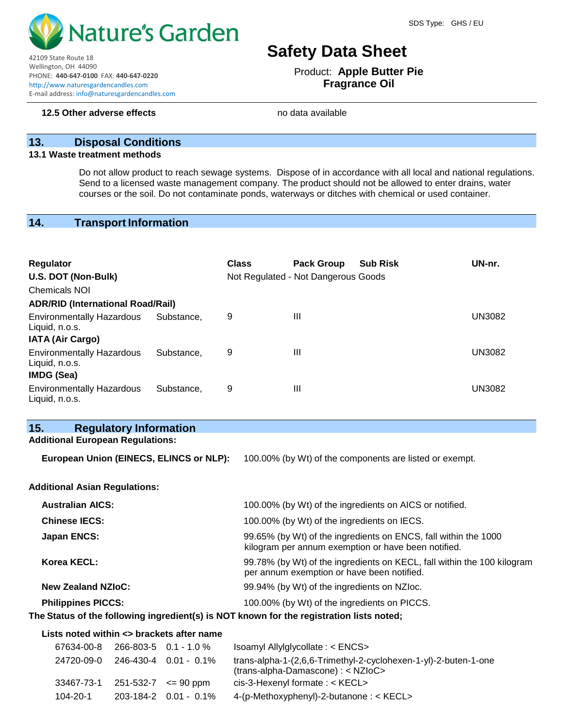

42109 State Route 18 Wellington, OH 44090 PHONE: **440-647-0100** FAX: **440-647-0220** http://www.naturesgardencandles.com E-mail address: info@naturesgardencandles.com

# **Safety Data Sheet**

Product: **Apple Butter Pie Fragrance Oil**

# **13. Disposal Conditions**

#### **13.1 Waste treatment methods**

Do not allow product to reach sewage systems. Dispose of in accordance with all local and national regulations. Send to a licensed waste management company. The product should not be allowed to enter drains, water courses or the soil. Do not contaminate ponds, waterways or ditches with chemical or used container.

# **14. Transport Information**

| <b>Regulator</b><br>U.S. DOT (Non-Bulk)<br><b>Chemicals NOI</b>  |            | <b>Class</b> | <b>Pack Group</b><br>Not Regulated - Not Dangerous Goods | <b>Sub Risk</b> | UN-nr.        |
|------------------------------------------------------------------|------------|--------------|----------------------------------------------------------|-----------------|---------------|
| <b>ADR/RID (International Road/Rail)</b>                         |            |              |                                                          |                 |               |
| <b>Environmentally Hazardous</b><br>Liquid, n.o.s.               | Substance. | 9            | Ш                                                        |                 | UN3082        |
| IATA (Air Cargo)                                                 |            |              |                                                          |                 |               |
| <b>Environmentally Hazardous</b><br>Liquid, n.o.s.<br>IMDG (Sea) | Substance. | 9            | Ш                                                        |                 | UN3082        |
| <b>Environmentally Hazardous</b><br>Liquid, n.o.s.               | Substance. | 9            | Ш                                                        |                 | <b>UN3082</b> |

| 15.<br><b>Regulatory Information</b>                                                     |                                                                                                                        |  |  |  |
|------------------------------------------------------------------------------------------|------------------------------------------------------------------------------------------------------------------------|--|--|--|
| <b>Additional European Regulations:</b>                                                  |                                                                                                                        |  |  |  |
| European Union (EINECS, ELINCS or NLP):                                                  | 100.00% (by Wt) of the components are listed or exempt.                                                                |  |  |  |
| <b>Additional Asian Regulations:</b>                                                     |                                                                                                                        |  |  |  |
| <b>Australian AICS:</b>                                                                  | 100.00% (by Wt) of the ingredients on AICS or notified.                                                                |  |  |  |
| <b>Chinese IECS:</b>                                                                     | 100.00% (by Wt) of the ingredients on IECS.                                                                            |  |  |  |
| <b>Japan ENCS:</b>                                                                       | 99.65% (by Wt) of the ingredients on ENCS, fall within the 1000<br>kilogram per annum exemption or have been notified. |  |  |  |
| Korea KECL:                                                                              | 99.78% (by Wt) of the ingredients on KECL, fall within the 100 kilogram<br>per annum exemption or have been notified.  |  |  |  |
| <b>New Zealand NZIoC:</b>                                                                | 99.94% (by Wt) of the ingredients on NZIoc.                                                                            |  |  |  |
| <b>Philippines PICCS:</b>                                                                | 100.00% (by Wt) of the ingredients on PICCS.                                                                           |  |  |  |
| The Status of the following ingredient(s) is NOT known for the registration lists noted; |                                                                                                                        |  |  |  |
| Lists noted within <> brackets after name                                                |                                                                                                                        |  |  |  |
| 67634-00-8<br>266-803-5 0.1 - 1.0 %                                                      | Isoamyl Allylglycollate: < ENCS>                                                                                       |  |  |  |
| 24720-09-0<br>246-430-4 0.01 - 0.1%                                                      | trans-alpha-1-(2,6,6-Trimethyl-2-cyclohexen-1-yl)-2-buten-1-one                                                        |  |  |  |

|                                          | $\mathcal{L}$ TI $\mathcal{L}$ U $\cup$ U $\cup$ U $\cup$ U $\cup$ U $\cup$ U $\cup$ U $\cup$ U $\cup$ U $\cup$ U $\cup$ U $\cup$ U $\cup$ U $\cup$ U $\cup$ U $\cup$ U $\cup$ U $\cup$ U $\cup$ U $\cup$ U $\cup$ U $\cup$ U $\cup$ U $\cup$ U $\cup$ U $\cup$ U $\cup$ U $\cup$ U $\cup$ U $\$ | $\alpha$ and $\alpha$ and $\alpha$ is the contract of $\alpha$ and $\alpha$ and $\alpha$ and $\alpha$ and $\alpha$ is the contract of $\alpha$<br>$(trans\text{-}alpha\text{-}Damascone): < NZIOC>$ |
|------------------------------------------|--------------------------------------------------------------------------------------------------------------------------------------------------------------------------------------------------------------------------------------------------------------------------------------------------|-----------------------------------------------------------------------------------------------------------------------------------------------------------------------------------------------------|
| $33467 - 73 - 1$ 251-532-7 $\leq 90$ ppm |                                                                                                                                                                                                                                                                                                  | $cis-3$ -Hexenyl formate: $<$ KECL $>$                                                                                                                                                              |
| 104-20-1                                 | 203-184-2  0.01 - 0.1%                                                                                                                                                                                                                                                                           | 4-(p-Methoxyphenyl)-2-butanone: < KECL>                                                                                                                                                             |